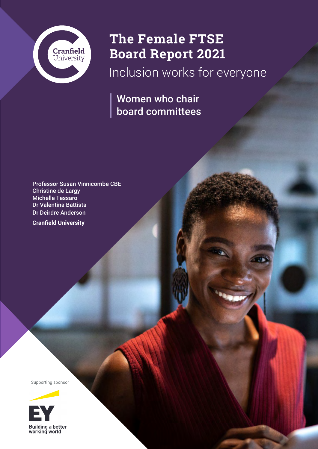

## **The Female FTSE Board Report 2021**

Inclusion works for everyone

Women who chair board committees

Professor Susan Vinnicombe CBE Christine de Largy Michelle Tessaro Dr Valentina Battista Dr Deirdre Anderson

**Cranfield University**

Supporting sponsor

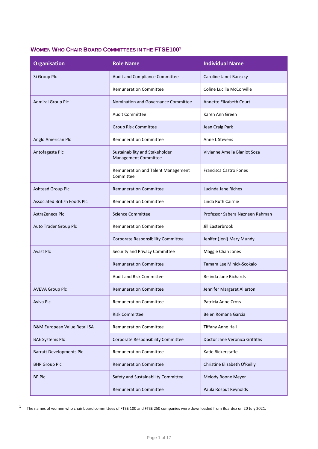## **WOMEN WHO CHAIR BOARD COMMITTEES IN THE FTSE100<sup>1</sup>**

| <b>Organisation</b>                 | <b>Role Name</b>                                       | <b>Individual Name</b>          |
|-------------------------------------|--------------------------------------------------------|---------------------------------|
| 3i Group Plc                        | Audit and Compliance Committee                         | Caroline Janet Banszky          |
|                                     | <b>Remuneration Committee</b>                          | Coline Lucille McConville       |
| <b>Admiral Group Plc</b>            | Nomination and Governance Committee                    | <b>Annette Elizabeth Court</b>  |
|                                     | <b>Audit Committee</b>                                 | Karen Ann Green                 |
|                                     | Group Risk Committee                                   | Jean Craig Park                 |
| Anglo American Plc                  | <b>Remuneration Committee</b>                          | Anne L Stevens                  |
| Antofagasta Plc                     | Sustainability and Stakeholder<br>Management Committee | Vivianne Amelia Blanlot Soza    |
|                                     | Remuneration and Talent Management<br>Committee        | <b>Francisca Castro Fones</b>   |
| <b>Ashtead Group Plc</b>            | <b>Remuneration Committee</b>                          | Lucinda Jane Riches             |
| <b>Associated British Foods Plc</b> | <b>Remuneration Committee</b>                          | Linda Ruth Cairnie              |
| AstraZeneca Plc                     | <b>Science Committee</b>                               | Professor Sabera Nazneen Rahman |
| Auto Trader Group Plc               | <b>Remuneration Committee</b>                          | Jill Easterbrook                |
|                                     | Corporate Responsibility Committee                     | Jenifer (Jeni) Mary Mundy       |
| <b>Avast Plc</b>                    | Security and Privacy Committee                         | Maggie Chan Jones               |
|                                     | <b>Remuneration Committee</b>                          | Tamara Lee Minick-Scokalo       |
|                                     | Audit and Risk Committee                               | Belinda Jane Richards           |
| <b>AVEVA Group Plc</b>              | <b>Remuneration Committee</b>                          | Jennifer Margaret Allerton      |
| Aviva Plc                           | <b>Remuneration Committee</b>                          | Patricia Anne Cross             |
|                                     | <b>Risk Committee</b>                                  | Belen Romana Garcia             |
| B&M European Value Retail SA        | <b>Remuneration Committee</b>                          | <b>Tiffany Anne Hall</b>        |
| <b>BAE Systems Plc</b>              | Corporate Responsibility Committee                     | Doctor Jane Veronica Griffiths  |
| <b>Barratt Developments Plc</b>     | <b>Remuneration Committee</b>                          | Katie Bickerstaffe              |
| <b>BHP Group Plc</b>                | <b>Remuneration Committee</b>                          | Christine Elizabeth O'Reilly    |
| <b>BP Plc</b>                       | Safety and Sustainability Committee                    | Melody Boone Meyer              |
|                                     | <b>Remuneration Committee</b>                          | Paula Rosput Reynolds           |

1 The names of women who chair board committees of FTSE 100 and FTSE 250 companies were downloaded from Boardex on 20 July 2021.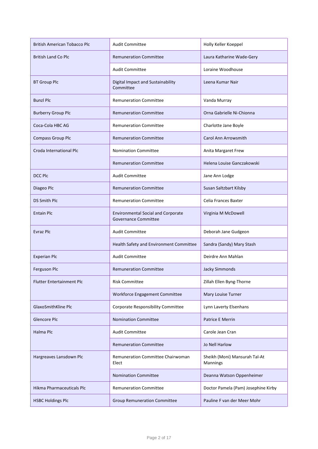| <b>British American Tobacco Plc</b> | <b>Audit Committee</b>                                                   | Holly Keller Koeppel                      |
|-------------------------------------|--------------------------------------------------------------------------|-------------------------------------------|
| <b>British Land Co Plc</b>          | <b>Remuneration Committee</b>                                            | Laura Katharine Wade-Gery                 |
|                                     | <b>Audit Committee</b>                                                   | Loraine Woodhouse                         |
| <b>BT Group Plc</b>                 | Digital Impact and Sustainability<br>Committee                           | Leena Kumar Nair                          |
| <b>Bunzl Plc</b>                    | <b>Remuneration Committee</b>                                            | Vanda Murray                              |
| <b>Burberry Group Plc</b>           | <b>Remuneration Committee</b>                                            | Orna Gabrielle Ni-Chionna                 |
| Coca-Cola HBC AG                    | <b>Remuneration Committee</b>                                            | Charlotte Jane Boyle                      |
| <b>Compass Group Plc</b>            | <b>Remuneration Committee</b>                                            | Carol Ann Arrowsmith                      |
| Croda International Plc             | <b>Nomination Committee</b>                                              | Anita Margaret Frew                       |
|                                     | <b>Remuneration Committee</b>                                            | Helena Louise Ganczakowski                |
| <b>DCC Plc</b>                      | <b>Audit Committee</b>                                                   | Jane Ann Lodge                            |
| Diageo Plc                          | <b>Remuneration Committee</b>                                            | Susan Saltzbart Kilsby                    |
| <b>DS Smith Plc</b>                 | <b>Remuneration Committee</b>                                            | Celia Frances Baxter                      |
| <b>Entain Plc</b>                   | <b>Environmental Social and Corporate</b><br><b>Governance Committee</b> | Virginia M McDowell                       |
| <b>Evraz Plc</b>                    | <b>Audit Committee</b>                                                   | Deborah Jane Gudgeon                      |
|                                     | Health Safety and Environment Committee                                  | Sandra (Sandy) Mary Stash                 |
| <b>Experian Plc</b>                 | <b>Audit Committee</b>                                                   | Deirdre Ann Mahlan                        |
| Ferguson Plc                        | <b>Remuneration Committee</b>                                            | <b>Jacky Simmonds</b>                     |
| <b>Flutter Entertainment Plc</b>    | <b>Risk Committee</b>                                                    | Zillah Ellen Byng-Thorne                  |
|                                     | Workforce Engagement Committee                                           | Mary Louise Turner                        |
| GlaxoSmithKline Plc                 | Corporate Responsibility Committee                                       | Lynn Laverty Elsenhans                    |
| Glencore Plc                        | <b>Nomination Committee</b>                                              | <b>Patrice E Merrin</b>                   |
| Halma Plc                           | <b>Audit Committee</b>                                                   | Carole Jean Cran                          |
|                                     | <b>Remuneration Committee</b>                                            | Jo Nell Harlow                            |
| Hargreaves Lansdown Plc             | Remuneration Committee Chairwoman<br>Elect                               | Sheikh (Moni) Mansurah Tal-At<br>Mannings |
|                                     | <b>Nomination Committee</b>                                              | Deanna Watson Oppenheimer                 |
| Hikma Pharmaceuticals Plc           | <b>Remuneration Committee</b>                                            | Doctor Pamela (Pam) Josephine Kirby       |
| <b>HSBC Holdings Plc</b>            | <b>Group Remuneration Committee</b>                                      | Pauline F van der Meer Mohr               |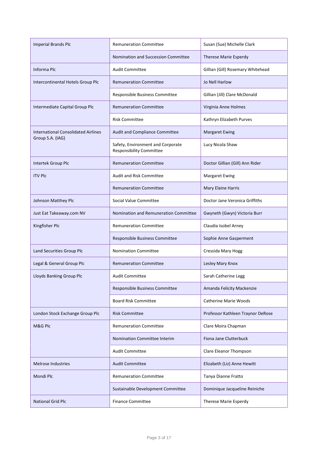| <b>Imperial Brands Plc</b>                                     | <b>Remuneration Committee</b>                                        | Susan (Sue) Michelle Clark        |
|----------------------------------------------------------------|----------------------------------------------------------------------|-----------------------------------|
|                                                                | Nomination and Succession Committee                                  | Therese Marie Esperdy             |
| Informa Plc                                                    | <b>Audit Committee</b>                                               | Gillian (Gill) Rosemary Whitehead |
| Intercontinental Hotels Group Plc                              | <b>Remuneration Committee</b>                                        | Jo Nell Harlow                    |
|                                                                | Responsible Business Committee                                       | Gillian (Jill) Clare McDonald     |
| Intermediate Capital Group Plc                                 | <b>Remuneration Committee</b>                                        | Virginia Anne Holmes              |
|                                                                | <b>Risk Committee</b>                                                | Kathryn Elizabeth Purves          |
| <b>International Consolidated Airlines</b><br>Group S.A. (IAG) | Audit and Compliance Committee                                       | <b>Margaret Ewing</b>             |
|                                                                | Safety, Environment and Corporate<br><b>Responsibility Committee</b> | Lucy Nicola Shaw                  |
| Intertek Group Plc                                             | <b>Remuneration Committee</b>                                        | Doctor Gillian (Gill) Ann Rider   |
| <b>ITV Plc</b>                                                 | <b>Audit and Risk Committee</b>                                      | <b>Margaret Ewing</b>             |
|                                                                | <b>Remuneration Committee</b>                                        | Mary Elaine Harris                |
| Johnson Matthey Plc                                            | Social Value Committee                                               | Doctor Jane Veronica Griffiths    |
| Just Eat Takeaway.com NV                                       | Nomination and Remuneration Committee                                | Gwyneth (Gwyn) Victoria Burr      |
| Kingfisher Plc                                                 | <b>Remuneration Committee</b>                                        | Claudia Isobel Arney              |
|                                                                | Responsible Business Committee                                       | Sophie Anne Gasperment            |
| Land Securities Group Plc                                      | <b>Nomination Committee</b>                                          | Cressida Mary Hogg                |
| Legal & General Group Plc                                      | <b>Remuneration Committee</b>                                        | Lesley Mary Knox                  |
| Lloyds Banking Group Plc                                       | <b>Audit Committee</b>                                               | Sarah Catherine Legg              |
|                                                                | Responsible Business Committee                                       | Amanda Felicity Mackenzie         |
|                                                                | <b>Board Risk Committee</b>                                          | <b>Catherine Marie Woods</b>      |
| London Stock Exchange Group Plc                                | <b>Risk Committee</b>                                                | Professor Kathleen Traynor DeRose |
| M&G Plc                                                        | <b>Remuneration Committee</b>                                        | Clare Moira Chapman               |
|                                                                | Nomination Committee Interim                                         | Fiona Jane Clutterbuck            |
|                                                                | <b>Audit Committee</b>                                               | Clare Eleanor Thompson            |
| <b>Melrose Industries</b>                                      | <b>Audit Committee</b>                                               | Elizabeth (Liz) Anne Hewitt       |
| Mondi Plc                                                      | <b>Remuneration Committee</b>                                        | Tanya Dianne Fratto               |
|                                                                | Sustainable Development Committee                                    | Dominique Jacqueline Reiniche     |
| <b>National Grid Plc</b>                                       | <b>Finance Committee</b>                                             | Therese Marie Esperdy             |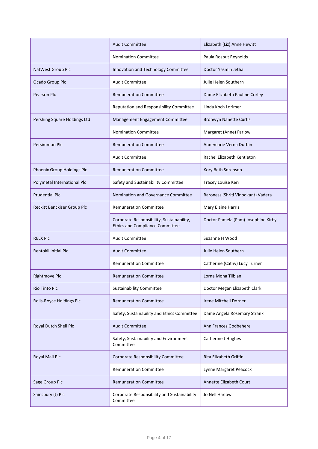|                              | <b>Audit Committee</b>                                                              | Elizabeth (Liz) Anne Hewitt         |
|------------------------------|-------------------------------------------------------------------------------------|-------------------------------------|
|                              | <b>Nomination Committee</b>                                                         | Paula Rosput Reynolds               |
| NatWest Group Plc            | Innovation and Technology Committee                                                 | Doctor Yasmin Jetha                 |
| Ocado Group Plc              | <b>Audit Committee</b>                                                              | Julie Helen Southern                |
| <b>Pearson Plc</b>           | <b>Remuneration Committee</b>                                                       | Dame Elizabeth Pauline Corley       |
|                              | Reputation and Responsibility Committee                                             | Linda Koch Lorimer                  |
| Pershing Square Holdings Ltd | Management Engagement Committee                                                     | <b>Bronwyn Nanette Curtis</b>       |
|                              | <b>Nomination Committee</b>                                                         | Margaret (Anne) Farlow              |
| Persimmon Plc                | <b>Remuneration Committee</b>                                                       | Annemarie Verna Durbin              |
|                              | <b>Audit Committee</b>                                                              | Rachel Elizabeth Kentleton          |
| Phoenix Group Holdings Plc   | <b>Remuneration Committee</b>                                                       | Kory Beth Sorenson                  |
| Polymetal International Plc  | Safety and Sustainability Committee                                                 | Tracey Louise Kerr                  |
| <b>Prudential Plc</b>        | Nomination and Governance Committee                                                 | Baroness (Shriti Vinodkant) Vadera  |
| Reckitt Benckiser Group Plc  | <b>Remuneration Committee</b>                                                       | Mary Elaine Harris                  |
|                              | Corporate Responsibility, Sustainability,<br><b>Ethics and Compliance Committee</b> | Doctor Pamela (Pam) Josephine Kirby |
| <b>RELX PIC</b>              | <b>Audit Committee</b>                                                              | Suzanne H Wood                      |
| Rentokil Initial Plc         | <b>Audit Committee</b>                                                              | Julie Helen Southern                |
|                              | <b>Remuneration Committee</b>                                                       | Catherine (Cathy) Lucy Turner       |
| <b>Rightmove Plc</b>         | <b>Remuneration Committee</b>                                                       | Lorna Mona Tilbian                  |
| <b>Rio Tinto Plc</b>         | Sustainability Committee                                                            | Doctor Megan Elizabeth Clark        |
| Rolls-Royce Holdings Plc     | <b>Remuneration Committee</b>                                                       | Irene Mitchell Dorner               |
|                              | Safety, Sustainability and Ethics Committee                                         | Dame Angela Rosemary Strank         |
| Royal Dutch Shell Plc        | <b>Audit Committee</b>                                                              | Ann Frances Godbehere               |
|                              | Safety, Sustainability and Environment<br>Committee                                 | Catherine J Hughes                  |
| Royal Mail Plc               | Corporate Responsibility Committee                                                  | Rita Elizabeth Griffin              |
|                              | <b>Remuneration Committee</b>                                                       | Lynne Margaret Peacock              |
| Sage Group Plc               | <b>Remuneration Committee</b>                                                       | Annette Elizabeth Court             |
| Sainsbury (J) Plc            | Corporate Responsibility and Sustainability<br>Committee                            | Jo Nell Harlow                      |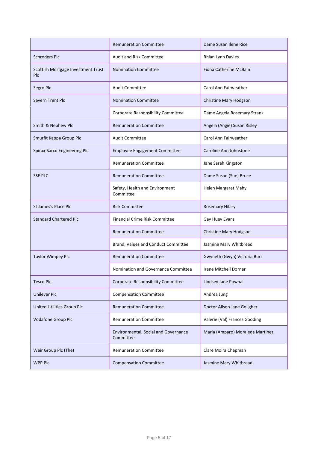|                                                  | <b>Remuneration Committee</b>                     | Dame Susan Ilene Rice            |
|--------------------------------------------------|---------------------------------------------------|----------------------------------|
| <b>Schroders Plc</b>                             | <b>Audit and Risk Committee</b>                   | Rhian Lynn Davies                |
| Scottish Mortgage Investment Trust<br><b>PIC</b> | <b>Nomination Committee</b>                       | Fiona Catherine McBain           |
| Segro Plc                                        | <b>Audit Committee</b>                            | Carol Ann Fairweather            |
| Severn Trent Plc                                 | <b>Nomination Committee</b>                       | Christine Mary Hodgson           |
|                                                  | Corporate Responsibility Committee                | Dame Angela Rosemary Strank      |
| Smith & Nephew Plc                               | <b>Remuneration Committee</b>                     | Angela (Angie) Susan Risley      |
| Smurfit Kappa Group Plc                          | <b>Audit Committee</b>                            | Carol Ann Fairweather            |
| Spirax-Sarco Engineering Plc                     | <b>Employee Engagement Committee</b>              | Caroline Ann Johnstone           |
|                                                  | <b>Remuneration Committee</b>                     | Jane Sarah Kingston              |
| <b>SSE PLC</b>                                   | <b>Remuneration Committee</b>                     | Dame Susan (Sue) Bruce           |
|                                                  | Safety, Health and Environment<br>Committee       | Helen Margaret Mahy              |
| St James's Place Plc                             | <b>Risk Committee</b>                             | <b>Rosemary Hilary</b>           |
| <b>Standard Chartered Plc</b>                    | <b>Financial Crime Risk Committee</b>             | Gay Huey Evans                   |
|                                                  | <b>Remuneration Committee</b>                     | Christine Mary Hodgson           |
|                                                  | Brand, Values and Conduct Committee               | Jasmine Mary Whitbread           |
| <b>Taylor Wimpey Plc</b>                         | <b>Remuneration Committee</b>                     | Gwyneth (Gwyn) Victoria Burr     |
|                                                  | Nomination and Governance Committee               | Irene Mitchell Dorner            |
| <b>Tesco Plc</b>                                 | Corporate Responsibility Committee                | Lindsey Jane Pownall             |
| <b>Unilever Plc</b>                              | <b>Compensation Committee</b>                     | Andrea Jung                      |
| United Utilities Group Plc                       | <b>Remuneration Committee</b>                     | Doctor Alison Jane Goligher      |
| Vodafone Group Plc                               | <b>Remuneration Committee</b>                     | Valerie (Val) Frances Gooding    |
|                                                  |                                                   |                                  |
|                                                  | Environmental, Social and Governance<br>Committee | Maria (Amparo) Moraleda Martinez |
| Weir Group Plc (The)                             | <b>Remuneration Committee</b>                     | Clare Moira Chapman              |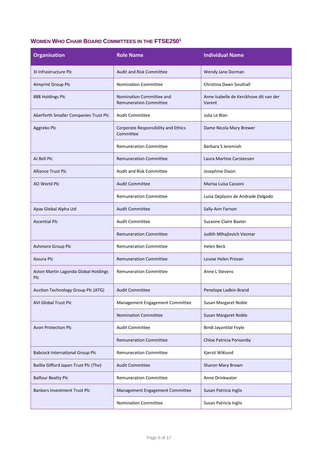## **WOMEN WHO CHAIR BOARD COMMITTEES IN THE FTSE250<sup>1</sup>**

| <b>Organisation</b>                                | <b>Role Name</b>                                          | <b>Individual Name</b>                           |
|----------------------------------------------------|-----------------------------------------------------------|--------------------------------------------------|
| 31 Infrastructure Plc                              | <b>Audit and Risk Committee</b>                           | Wendy Jane Dorman                                |
| 4imprint Group Plc                                 | <b>Nomination Committee</b>                               | Christina Dawn Southall                          |
| 888 Holdings Plc                                   | Nomination Committee and<br><b>Remuneration Committee</b> | Anne Isabelle de Kerckhove dit van der<br>Varent |
| Aberforth Smaller Companies Trust Plc              | <b>Audit Committee</b>                                    | Julia Le Blan                                    |
| Aggreko Plc                                        | Corporate Responsibility and Ethics<br>Committee          | Dame Nicola Mary Brewer                          |
|                                                    | <b>Remuneration Committee</b>                             | Barbara S Jeremiah                               |
| AJ Bell Plc                                        | <b>Remuneration Committee</b>                             | Laura Martine Carstensen                         |
| <b>Alliance Trust Plc</b>                          | Audit and Risk Committee                                  | Josephine Dixon                                  |
| AO World Plc                                       | <b>Audit Committee</b>                                    | Marisa Luisa Cassoni                             |
|                                                    | <b>Remuneration Committee</b>                             | Luisa Deplazes de Andrade Delgado                |
| Apax Global Alpha Ltd                              | <b>Audit Committee</b>                                    | Sally-Ann Farnon                                 |
| <b>Ascential Plc</b>                               | <b>Audit Committee</b>                                    | <b>Suzanne Claire Baxter</b>                     |
|                                                    | <b>Remuneration Committee</b>                             | Judith Mihajlovich Vezmar                        |
| Ashmore Group Plc                                  | <b>Remuneration Committee</b>                             | Helen Beck                                       |
| Assura Plc                                         | <b>Remuneration Committee</b>                             | Louise Helen Provan                              |
| Aston Martin Lagonda Global Holdings<br><b>PIC</b> | <b>Remuneration Committee</b>                             | Anne L Stevens                                   |
| Auction Technology Group Plc (ATG)                 | <b>Audit Committee</b>                                    | Penelope Ladkin-Brand                            |
| <b>AVI Global Trust Plc</b>                        | Management Engagement Committee                           | Susan Margaret Noble                             |
|                                                    | <b>Nomination Committee</b>                               | Susan Margaret Noble                             |
| Avon Protection Plc                                | <b>Audit Committee</b>                                    | Bindi Jayantilal Foyle                           |
|                                                    | <b>Remuneration Committee</b>                             | Chloe Patricia Ponsonby                          |
| <b>Babcock International Group Plc</b>             | <b>Remuneration Committee</b>                             | Kjersti Wiklund                                  |
| Baillie Gifford Japan Trust Plc (The)              | <b>Audit Committee</b>                                    | Sharon Mary Brown                                |
| <b>Balfour Beatty Plc</b>                          | <b>Remuneration Committee</b>                             | Anne Drinkwater                                  |
| <b>Bankers Investment Trust Plc</b>                | Management Engagement Committee                           | Susan Patricia Inglis                            |
|                                                    | Nomination Committee                                      | Susan Patricia Inglis                            |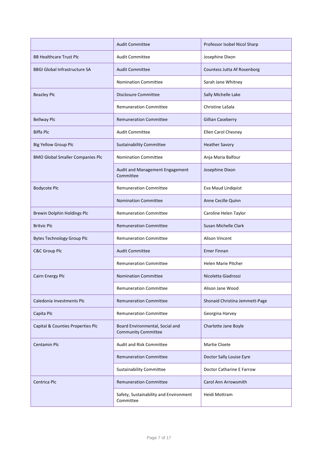|                                         | <b>Audit Committee</b>                                        | Professor Isobel Nicol Sharp   |
|-----------------------------------------|---------------------------------------------------------------|--------------------------------|
| <b>BB Healthcare Trust Plc</b>          | <b>Audit Committee</b>                                        | Josephine Dixon                |
| <b>BBGI Global Infrastructure SA</b>    | <b>Audit Committee</b>                                        | Countess Jutta Af Rosenborg    |
|                                         | <b>Nomination Committee</b>                                   | Sarah Jane Whitney             |
| <b>Beazley Plc</b>                      | <b>Disclosure Committee</b>                                   | Sally Michelle Lake            |
|                                         | <b>Remuneration Committee</b>                                 | Christine LaSala               |
| <b>Bellway Plc</b>                      | <b>Remuneration Committee</b>                                 | <b>Gillian Caseberry</b>       |
| <b>Biffa Plc</b>                        | <b>Audit Committee</b>                                        | Ellen Carol Chesney            |
| <b>Big Yellow Group Plc</b>             | <b>Sustainability Committee</b>                               | <b>Heather Savory</b>          |
| <b>BMO Global Smaller Companies Plc</b> | <b>Nomination Committee</b>                                   | Anja Maria Balfour             |
|                                         | Audit and Management Engagement<br>Committee                  | Josephine Dixon                |
| <b>Bodycote Plc</b>                     | <b>Remuneration Committee</b>                                 | Eva Maud Lindqvist             |
|                                         | <b>Nomination Committee</b>                                   | Anne Cecille Quinn             |
| Brewin Dolphin Holdings Plc             | <b>Remuneration Committee</b>                                 | Caroline Helen Taylor          |
| <b>Britvic Plc</b>                      | <b>Remuneration Committee</b>                                 | Susan Michelle Clark           |
| <b>Bytes Technology Group Plc</b>       | <b>Remuneration Committee</b>                                 | <b>Alison Vincent</b>          |
| <b>C&amp;C Group Plc</b>                | <b>Audit Committee</b>                                        | <b>Emer Finnan</b>             |
|                                         | <b>Remuneration Committee</b>                                 | <b>Helen Marie Pitcher</b>     |
| Cairn Energy Plc                        | <b>Nomination Committee</b>                                   | Nicoletta Giadrossi            |
|                                         | <b>Remuneration Committee</b>                                 | Alison Jane Wood               |
| Caledonia Investments Plc               | <b>Remuneration Committee</b>                                 | Shonaid Christina Jemmett-Page |
| Capita Plc                              | <b>Remuneration Committee</b>                                 | Georgina Harvey                |
| Capital & Counties Properties Plc       | Board Environmental, Social and<br><b>Community Committee</b> | Charlotte Jane Boyle           |
| <b>Centamin Plc</b>                     | Audit and Risk Committee                                      | Martie Cloete                  |
|                                         | <b>Remuneration Committee</b>                                 | Doctor Sally Louise Eyre       |
|                                         | <b>Sustainability Committee</b>                               | Doctor Catharine E Farrow      |
| Centrica Plc                            | <b>Remuneration Committee</b>                                 | Carol Ann Arrowsmith           |
|                                         | Safety, Sustainability and Environment<br>Committee           | Heidi Mottram                  |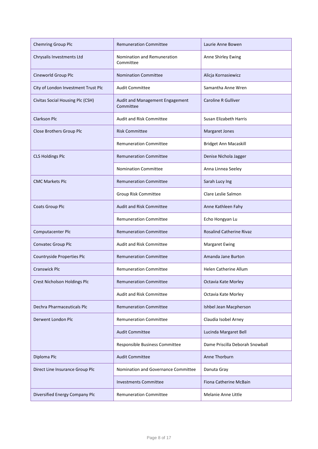| <b>Chemring Group Plc</b>           | <b>Remuneration Committee</b>                | Laurie Anne Bowen               |
|-------------------------------------|----------------------------------------------|---------------------------------|
| Chrysalis Investments Ltd           | Nomination and Remuneration<br>Committee     | Anne Shirley Ewing              |
| Cineworld Group Plc                 | <b>Nomination Committee</b>                  | Alicja Kornasiewicz             |
| City of London Investment Trust Plc | <b>Audit Committee</b>                       | Samantha Anne Wren              |
| Civitas Social Housing Plc (CSH)    | Audit and Management Engagement<br>Committee | <b>Caroline R Gulliver</b>      |
| <b>Clarkson Plc</b>                 | <b>Audit and Risk Committee</b>              | Susan Elizabeth Harris          |
| Close Brothers Group Plc            | <b>Risk Committee</b>                        | Margaret Jones                  |
|                                     | <b>Remuneration Committee</b>                | <b>Bridget Ann Macaskill</b>    |
| <b>CLS Holdings Plc</b>             | <b>Remuneration Committee</b>                | Denise Nichola Jagger           |
|                                     | <b>Nomination Committee</b>                  | Anna Linnea Seeley              |
| <b>CMC Markets Plc</b>              | <b>Remuneration Committee</b>                | Sarah Lucy Ing                  |
|                                     | Group Risk Committee                         | Clare Leslie Salmon             |
| <b>Coats Group Plc</b>              | <b>Audit and Risk Committee</b>              | Anne Kathleen Fahy              |
|                                     | <b>Remuneration Committee</b>                | Echo Hongyan Lu                 |
| Computacenter Plc                   | <b>Remuneration Committee</b>                | <b>Rosalind Catherine Rivaz</b> |
| Convatec Group Plc                  | <b>Audit and Risk Committee</b>              | <b>Margaret Ewing</b>           |
| Countryside Properties Plc          | <b>Remuneration Committee</b>                | Amanda Jane Burton              |
| <b>Cranswick Plc</b>                | <b>Remuneration Committee</b>                | <b>Helen Catherine Allum</b>    |
| Crest Nicholson Holdings Plc        | <b>Remuneration Committee</b>                | Octavia Kate Morley             |
|                                     | <b>Audit and Risk Committee</b>              | Octavia Kate Morley             |
| Dechra Pharmaceuticals Plc          | <b>Remuneration Committee</b>                | Ishbel Jean Macpherson          |
| Derwent London Plc                  | <b>Remuneration Committee</b>                | Claudia Isobel Arney            |
|                                     | <b>Audit Committee</b>                       | Lucinda Margaret Bell           |
|                                     | Responsible Business Committee               | Dame Priscilla Deborah Snowball |
| Diploma Plc                         | <b>Audit Committee</b>                       | Anne Thorburn                   |
| Direct Line Insurance Group Plc     | Nomination and Governance Committee          | Danuta Gray                     |
|                                     | <b>Investments Committee</b>                 | Fiona Catherine McBain          |
| Diversified Energy Company Plc      | <b>Remuneration Committee</b>                | Melanie Anne Little             |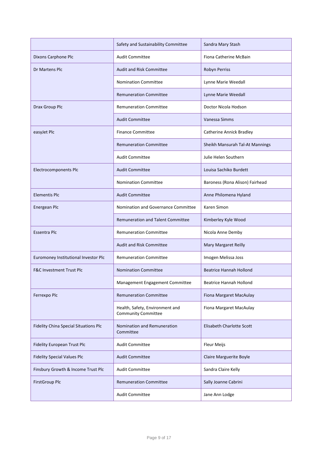|                                              | Safety and Sustainability Committee                           | Sandra Mary Stash               |
|----------------------------------------------|---------------------------------------------------------------|---------------------------------|
| Dixons Carphone Plc                          | <b>Audit Committee</b>                                        | Fiona Catherine McBain          |
| Dr Martens Plc                               | <b>Audit and Risk Committee</b>                               | Robyn Perriss                   |
|                                              | <b>Nomination Committee</b>                                   | Lynne Marie Weedall             |
|                                              | <b>Remuneration Committee</b>                                 | Lynne Marie Weedall             |
| Drax Group Plc                               | <b>Remuneration Committee</b>                                 | Doctor Nicola Hodson            |
|                                              | <b>Audit Committee</b>                                        | Vanessa Simms                   |
| easyJet Plc                                  | <b>Finance Committee</b>                                      | <b>Catherine Annick Bradley</b> |
|                                              | <b>Remuneration Committee</b>                                 | Sheikh Mansurah Tal-At Mannings |
|                                              | <b>Audit Committee</b>                                        | Julie Helen Southern            |
| Electrocomponents Plc                        | <b>Audit Committee</b>                                        | Louisa Sachiko Burdett          |
|                                              | <b>Nomination Committee</b>                                   | Baroness (Rona Alison) Fairhead |
| <b>Elementis Plc</b>                         | <b>Audit Committee</b>                                        | Anne Philomena Hyland           |
| Energean Plc                                 | Nomination and Governance Committee                           | Karen Simon                     |
|                                              | <b>Remuneration and Talent Committee</b>                      | Kimberley Kyle Wood             |
| <b>Essentra Plc</b>                          | <b>Remuneration Committee</b>                                 | Nicola Anne Demby               |
|                                              | <b>Audit and Risk Committee</b>                               | Mary Margaret Reilly            |
| Euromoney Institutional Investor Plc         | <b>Remuneration Committee</b>                                 | Imogen Melissa Joss             |
| <b>F&amp;C Investment Trust Plc</b>          | <b>Nomination Committee</b>                                   | <b>Beatrice Hannah Hollond</b>  |
|                                              | Management Engagement Committee                               | <b>Beatrice Hannah Hollond</b>  |
| Ferrexpo Plc                                 | <b>Remuneration Committee</b>                                 | Fiona Margaret MacAulay         |
|                                              | Health, Safety, Environment and<br><b>Community Committee</b> | Fiona Margaret MacAulay         |
| <b>Fidelity China Special Situations Plc</b> | Nomination and Remuneration<br>Committee                      | Elisabeth Charlotte Scott       |
| Fidelity European Trust Plc                  | <b>Audit Committee</b>                                        | <b>Fleur Meijs</b>              |
| <b>Fidelity Special Values Plc</b>           | <b>Audit Committee</b>                                        | Claire Marguerite Boyle         |
| Finsbury Growth & Income Trust Plc           | <b>Audit Committee</b>                                        | Sandra Claire Kelly             |
| <b>FirstGroup Plc</b>                        | <b>Remuneration Committee</b>                                 | Sally Joanne Cabrini            |
|                                              | <b>Audit Committee</b>                                        | Jane Ann Lodge                  |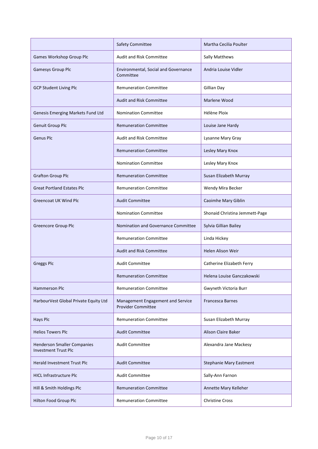|                                                                   | <b>Safety Committee</b>                                        | Martha Cecilia Poulter         |
|-------------------------------------------------------------------|----------------------------------------------------------------|--------------------------------|
| Games Workshop Group Plc                                          | Audit and Risk Committee                                       | Sally Matthews                 |
| Gamesys Group Plc                                                 | Environmental, Social and Governance<br>Committee              | Andria Louise Vidler           |
| <b>GCP Student Living Plc</b>                                     | <b>Remuneration Committee</b>                                  | Gillian Day                    |
|                                                                   | <b>Audit and Risk Committee</b>                                | Marlene Wood                   |
| Genesis Emerging Markets Fund Ltd                                 | <b>Nomination Committee</b>                                    | Hélène Ploix                   |
| Genuit Group Plc                                                  | <b>Remuneration Committee</b>                                  | Louise Jane Hardy              |
| <b>Genus Plc</b>                                                  | <b>Audit and Risk Committee</b>                                | Lysanne Mary Gray              |
|                                                                   | <b>Remuneration Committee</b>                                  | Lesley Mary Knox               |
|                                                                   | <b>Nomination Committee</b>                                    | Lesley Mary Knox               |
| <b>Grafton Group Plc</b>                                          | <b>Remuneration Committee</b>                                  | Susan Elizabeth Murray         |
| <b>Great Portland Estates Plc</b>                                 | <b>Remuneration Committee</b>                                  | Wendy Mira Becker              |
| <b>Greencoat UK Wind Plc</b>                                      | <b>Audit Committee</b>                                         | Caoimhe Mary Giblin            |
|                                                                   | <b>Nomination Committee</b>                                    | Shonaid Christina Jemmett-Page |
| <b>Greencore Group Plc</b>                                        | <b>Nomination and Governance Committee</b>                     | Sylvia Gillian Bailey          |
|                                                                   | <b>Remuneration Committee</b>                                  | Linda Hickey                   |
|                                                                   | <b>Audit and Risk Committee</b>                                | Helen Alison Weir              |
| <b>Greggs Plc</b>                                                 | <b>Audit Committee</b>                                         | Catherine Elizabeth Ferry      |
|                                                                   | Remuneration Committee                                         | Helena Louise Ganczakowski     |
| Hammerson Plc                                                     | <b>Remuneration Committee</b>                                  | Gwyneth Victoria Burr          |
| HarbourVest Global Private Equity Ltd                             | Management Engagement and Service<br><b>Provider Committee</b> | <b>Francesca Barnes</b>        |
| Hays Plc                                                          | <b>Remuneration Committee</b>                                  | Susan Elizabeth Murray         |
| <b>Helios Towers Plc</b>                                          | <b>Audit Committee</b>                                         | Alison Claire Baker            |
| <b>Henderson Smaller Companies</b><br><b>Investment Trust Plc</b> | <b>Audit Committee</b>                                         | Alexandra Jane Mackesy         |
| Herald Investment Trust Plc                                       | <b>Audit Committee</b>                                         | <b>Stephanie Mary Eastment</b> |
| <b>HICL Infrastructure Plc</b>                                    | <b>Audit Committee</b>                                         | Sally-Ann Farnon               |
| Hill & Smith Holdings Plc                                         | <b>Remuneration Committee</b>                                  | Annette Mary Kelleher          |
| Hilton Food Group Plc                                             | <b>Remuneration Committee</b>                                  | <b>Christine Cross</b>         |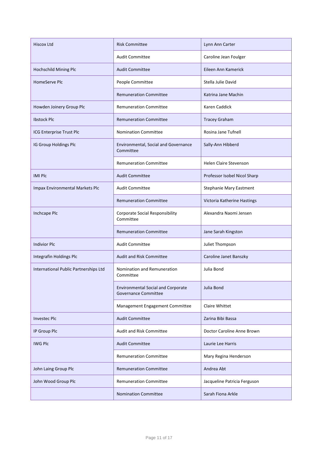| <b>Hiscox Ltd</b>                     | <b>Risk Committee</b>                                                    | Lynn Ann Carter                |
|---------------------------------------|--------------------------------------------------------------------------|--------------------------------|
|                                       | <b>Audit Committee</b>                                                   | Caroline Jean Foulger          |
| Hochschild Mining Plc                 | <b>Audit Committee</b>                                                   | Eileen Ann Kamerick            |
| <b>HomeServe Plc</b>                  | People Committee                                                         | Stella Julie David             |
|                                       | <b>Remuneration Committee</b>                                            | Katrina Jane Machin            |
| Howden Joinery Group Plc              | <b>Remuneration Committee</b>                                            | Karen Caddick                  |
| <b>Ibstock Plc</b>                    | <b>Remuneration Committee</b>                                            | <b>Tracey Graham</b>           |
| ICG Enterprise Trust Plc              | <b>Nomination Committee</b>                                              | Rosina Jane Tufnell            |
| IG Group Holdings Plc                 | Environmental, Social and Governance<br>Committee                        | Sally-Ann Hibberd              |
|                                       | <b>Remuneration Committee</b>                                            | <b>Helen Claire Stevenson</b>  |
| <b>IMI PIC</b>                        | <b>Audit Committee</b>                                                   | Professor Isobel Nicol Sharp   |
| Impax Environmental Markets Plc       | <b>Audit Committee</b>                                                   | <b>Stephanie Mary Eastment</b> |
|                                       | <b>Remuneration Committee</b>                                            | Victoria Katherine Hastings    |
| Inchcape Plc                          | <b>Corporate Social Responsibility</b><br>Committee                      | Alexandra Naomi Jensen         |
|                                       | <b>Remuneration Committee</b>                                            | Jane Sarah Kingston            |
| <b>Indivior Plc</b>                   | <b>Audit Committee</b>                                                   | Juliet Thompson                |
| Integrafin Holdings Plc               | <b>Audit and Risk Committee</b>                                          | Caroline Janet Banszky         |
| International Public Partnerships Ltd | Nomination and Remuneration<br>Committee                                 | Julia Bond                     |
|                                       | <b>Environmental Social and Corporate</b><br><b>Governance Committee</b> | Julia Bond                     |
|                                       | Management Engagement Committee                                          | Claire Whittet                 |
| <b>Investec Plc</b>                   | <b>Audit Committee</b>                                                   | Zarina Bibi Bassa              |
| IP Group Plc                          | <b>Audit and Risk Committee</b>                                          | Doctor Caroline Anne Brown     |
| <b>IWG PIC</b>                        | <b>Audit Committee</b>                                                   | Laurie Lee Harris              |
|                                       | <b>Remuneration Committee</b>                                            | Mary Regina Henderson          |
| John Laing Group Plc                  | <b>Remuneration Committee</b>                                            | Andrea Abt                     |
| John Wood Group Plc                   | <b>Remuneration Committee</b>                                            | Jacqueline Patricia Ferguson   |
|                                       | <b>Nomination Committee</b>                                              | Sarah Fiona Arkle              |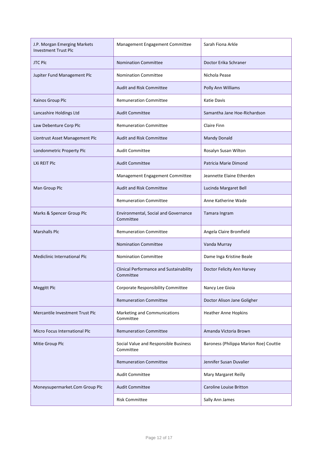| J.P. Morgan Emerging Markets<br><b>Investment Trust Plc</b> | Management Engagement Committee                             | Sarah Fiona Arkle                      |
|-------------------------------------------------------------|-------------------------------------------------------------|----------------------------------------|
| <b>JTC Plc</b>                                              | <b>Nomination Committee</b>                                 | Doctor Erika Schraner                  |
| Jupiter Fund Management Plc                                 | <b>Nomination Committee</b>                                 | Nichola Pease                          |
|                                                             | <b>Audit and Risk Committee</b>                             | Polly Ann Williams                     |
| Kainos Group Plc                                            | <b>Remuneration Committee</b>                               | Katie Davis                            |
| Lancashire Holdings Ltd                                     | <b>Audit Committee</b>                                      | Samantha Jane Hoe-Richardson           |
| Law Debenture Corp Plc                                      | <b>Remuneration Committee</b>                               | Claire Finn                            |
| Liontrust Asset Management Plc                              | <b>Audit and Risk Committee</b>                             | Mandy Donald                           |
| Londonmetric Property Plc                                   | <b>Audit Committee</b>                                      | Rosalyn Susan Wilton                   |
| LXi REIT Plc                                                | <b>Audit Committee</b>                                      | Patricia Marie Dimond                  |
|                                                             | Management Engagement Committee                             | Jeannette Elaine Etherden              |
| Man Group Plc                                               | <b>Audit and Risk Committee</b>                             | Lucinda Margaret Bell                  |
|                                                             | <b>Remuneration Committee</b>                               | Anne Katherine Wade                    |
| Marks & Spencer Group Plc                                   | Environmental, Social and Governance<br>Committee           | Tamara Ingram                          |
| <b>Marshalls Plc</b>                                        | <b>Remuneration Committee</b>                               | Angela Claire Bromfield                |
|                                                             | <b>Nomination Committee</b>                                 | Vanda Murray                           |
| <b>Mediclinic International Plc</b>                         | <b>Nomination Committee</b>                                 | Dame Inga Kristine Beale               |
|                                                             | <b>Clinical Performance and Sustainability</b><br>Committee | Doctor Felicity Ann Harvey             |
| <b>Meggitt Plc</b>                                          | Corporate Responsibility Committee                          | Nancy Lee Gioia                        |
|                                                             | <b>Remuneration Committee</b>                               | Doctor Alison Jane Goligher            |
| Mercantile Investment Trust Plc                             | Marketing and Communications<br>Committee                   | <b>Heather Anne Hopkins</b>            |
| Micro Focus International Plc                               | <b>Remuneration Committee</b>                               | Amanda Victoria Brown                  |
| Mitie Group Plc                                             | Social Value and Responsible Business<br>Committee          | Baroness (Philippa Marion Roe) Couttie |
|                                                             | <b>Remuneration Committee</b>                               | Jennifer Susan Duvalier                |
|                                                             | <b>Audit Committee</b>                                      | Mary Margaret Reilly                   |
| Moneysupermarket.Com Group Plc                              | <b>Audit Committee</b>                                      | Caroline Louise Britton                |
|                                                             | <b>Risk Committee</b>                                       | Sally Ann James                        |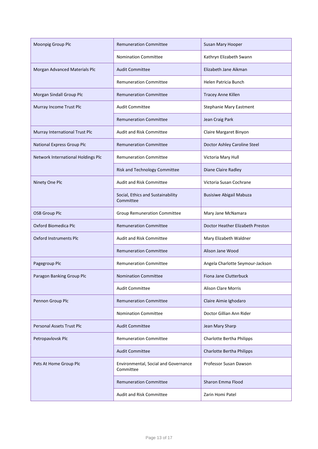| Moonpig Group Plc                  | <b>Remuneration Committee</b>                     | Susan Mary Hooper                |
|------------------------------------|---------------------------------------------------|----------------------------------|
|                                    | <b>Nomination Committee</b>                       | Kathryn Elizabeth Swann          |
| Morgan Advanced Materials Plc      | <b>Audit Committee</b>                            | Elizabeth Jane Aikman            |
|                                    | <b>Remuneration Committee</b>                     | Helen Patricia Bunch             |
| Morgan Sindall Group Plc           | <b>Remuneration Committee</b>                     | Tracey Anne Killen               |
| Murray Income Trust Plc            | <b>Audit Committee</b>                            | Stephanie Mary Eastment          |
|                                    | <b>Remuneration Committee</b>                     | Jean Craig Park                  |
| Murray International Trust Plc     | <b>Audit and Risk Committee</b>                   | Claire Margaret Binyon           |
| National Express Group Plc         | <b>Remuneration Committee</b>                     | Doctor Ashley Caroline Steel     |
| Network International Holdings Plc | <b>Remuneration Committee</b>                     | Victoria Mary Hull               |
|                                    | Risk and Technology Committee                     | Diane Claire Radley              |
| Ninety One Plc                     | <b>Audit and Risk Committee</b>                   | Victoria Susan Cochrane          |
|                                    | Social, Ethics and Sustainability<br>Committee    | <b>Busisiwe Abigail Mabuza</b>   |
| <b>OSB Group Plc</b>               | <b>Group Remuneration Committee</b>               | Mary Jane McNamara               |
| Oxford Biomedica Plc               | <b>Remuneration Committee</b>                     | Doctor Heather Elizabeth Preston |
| <b>Oxford Instruments Plc</b>      | <b>Audit and Risk Committee</b>                   | Mary Elizabeth Waldner           |
|                                    | <b>Remuneration Committee</b>                     | Alison Jane Wood                 |
| Pagegroup Plc                      | <b>Remuneration Committee</b>                     | Angela Charlotte Seymour-Jackson |
| Paragon Banking Group Plc          | <b>Nomination Committee</b>                       | Fiona Jane Clutterbuck           |
|                                    | <b>Audit Committee</b>                            | <b>Alison Clare Morris</b>       |
| Pennon Group Plc                   | <b>Remuneration Committee</b>                     | Claire Aimie Ighodaro            |
|                                    | <b>Nomination Committee</b>                       | Doctor Gillian Ann Rider         |
| <b>Personal Assets Trust Plc</b>   | <b>Audit Committee</b>                            | Jean Mary Sharp                  |
| Petropavlovsk Plc                  | <b>Remuneration Committee</b>                     | Charlotte Bertha Philipps        |
|                                    | <b>Audit Committee</b>                            | Charlotte Bertha Philipps        |
| Pets At Home Group Plc             | Environmental, Social and Governance<br>Committee | Professor Susan Dawson           |
|                                    | <b>Remuneration Committee</b>                     | Sharon Emma Flood                |
|                                    | Audit and Risk Committee                          | Zarin Homi Patel                 |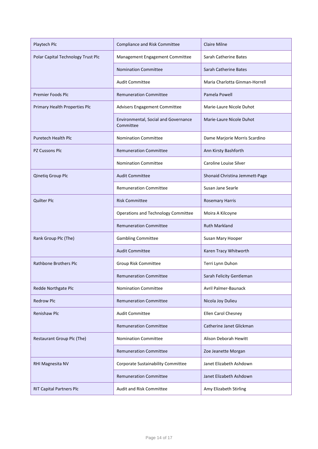| Playtech Plc                       | Compliance and Risk Committee                     | <b>Claire Milne</b>            |
|------------------------------------|---------------------------------------------------|--------------------------------|
| Polar Capital Technology Trust Plc | Management Engagement Committee                   | Sarah Catherine Bates          |
|                                    | <b>Nomination Committee</b>                       | Sarah Catherine Bates          |
|                                    | <b>Audit Committee</b>                            | Maria Charlotta Ginman-Horrell |
| <b>Premier Foods Plc</b>           | <b>Remuneration Committee</b>                     | Pamela Powell                  |
| Primary Health Properties Plc      | Advisers Engagement Committee                     | Marie-Laure Nicole Duhot       |
|                                    | Environmental, Social and Governance<br>Committee | Marie-Laure Nicole Duhot       |
| Puretech Health Plc                | <b>Nomination Committee</b>                       | Dame Marjorie Morris Scardino  |
| <b>PZ Cussons Plc</b>              | <b>Remuneration Committee</b>                     | Ann Kirsty Bashforth           |
|                                    | <b>Nomination Committee</b>                       | Caroline Louise Silver         |
| Qinetiq Group Plc                  | <b>Audit Committee</b>                            | Shonaid Christina Jemmett-Page |
|                                    | <b>Remuneration Committee</b>                     | Susan Jane Searle              |
| <b>Quilter Plc</b>                 | <b>Risk Committee</b>                             | <b>Rosemary Harris</b>         |
|                                    | Operations and Technology Committee               | Moira A Kilcoyne               |
|                                    | <b>Remuneration Committee</b>                     | <b>Ruth Markland</b>           |
| Rank Group Plc (The)               | <b>Gambling Committee</b>                         | Susan Mary Hooper              |
|                                    | <b>Audit Committee</b>                            | Karen Tracy Whitworth          |
| Rathbone Brothers Plc              | <b>Group Risk Committee</b>                       | Terri Lynn Duhon               |
|                                    | <b>Remuneration Committee</b>                     | Sarah Felicity Gentleman       |
| Redde Northgate Plc                | <b>Nomination Committee</b>                       | Avril Palmer-Baunack           |
| <b>Redrow Plc</b>                  | <b>Remuneration Committee</b>                     | Nicola Joy Dulieu              |
| Renishaw Plc                       | <b>Audit Committee</b>                            | Ellen Carol Chesney            |
|                                    | <b>Remuneration Committee</b>                     | Catherine Janet Glickman       |
| Restaurant Group Plc (The)         | <b>Nomination Committee</b>                       | Alison Deborah Hewitt          |
|                                    | <b>Remuneration Committee</b>                     | Zoe Jeanette Morgan            |
| RHI Magnesita NV                   | Corporate Sustainability Committee                | Janet Elizabeth Ashdown        |
|                                    | <b>Remuneration Committee</b>                     | Janet Elizabeth Ashdown        |
| <b>RIT Capital Partners Plc</b>    | Audit and Risk Committee                          | Amy Elizabeth Stirling         |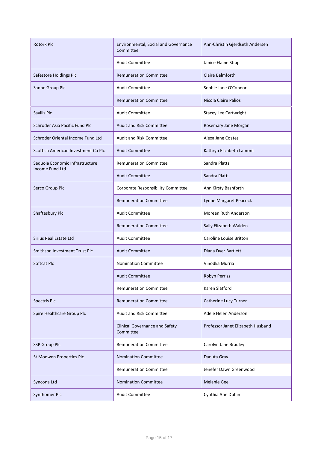| <b>Rotork Plc</b>                   | Environmental, Social and Governance<br>Committee  | Ann-Christin Gjerdseth Andersen   |
|-------------------------------------|----------------------------------------------------|-----------------------------------|
|                                     | <b>Audit Committee</b>                             | Janice Elaine Stipp               |
| Safestore Holdings Plc              | <b>Remuneration Committee</b>                      | Claire Balmforth                  |
| Sanne Group Plc                     | <b>Audit Committee</b>                             | Sophie Jane O'Connor              |
|                                     | <b>Remuneration Committee</b>                      | Nicola Claire Palios              |
| Savills Plc                         | <b>Audit Committee</b>                             | <b>Stacey Lee Cartwright</b>      |
| Schroder Asia Pacific Fund Plc      | <b>Audit and Risk Committee</b>                    | Rosemary Jane Morgan              |
| Schroder Oriental Income Fund Ltd   | <b>Audit and Risk Committee</b>                    | Alexa Jane Coates                 |
| Scottish American Investment Co Plc | <b>Audit Committee</b>                             | Kathryn Elizabeth Lamont          |
| Sequoia Economic Infrastructure     | <b>Remuneration Committee</b>                      | Sandra Platts                     |
| <b>Income Fund Ltd</b>              | <b>Audit Committee</b>                             | Sandra Platts                     |
| Serco Group Plc                     | Corporate Responsibility Committee                 | Ann Kirsty Bashforth              |
|                                     | <b>Remuneration Committee</b>                      | Lynne Margaret Peacock            |
| Shaftesbury Plc                     | <b>Audit Committee</b>                             | Moreen Ruth Anderson              |
|                                     | <b>Remuneration Committee</b>                      | Sally Elizabeth Walden            |
| Sirius Real Estate Ltd              | <b>Audit Committee</b>                             | Caroline Louise Britton           |
| Smithson Investment Trust Plc       | <b>Audit Committee</b>                             | Diana Dyer Bartlett               |
| Softcat Plc                         | <b>Nomination Committee</b>                        | Vinodka Murria                    |
|                                     | <b>Audit Committee</b>                             | Robyn Perriss                     |
|                                     | <b>Remuneration Committee</b>                      | Karen Slatford                    |
| Spectris Plc                        | <b>Remuneration Committee</b>                      | Catherine Lucy Turner             |
| Spire Healthcare Group Plc          | <b>Audit and Risk Committee</b>                    | Adèle Helen Anderson              |
|                                     | <b>Clinical Governance and Safety</b><br>Committee | Professor Janet Elizabeth Husband |
| <b>SSP Group Plc</b>                | <b>Remuneration Committee</b>                      | Carolyn Jane Bradley              |
| St Modwen Properties Plc            | <b>Nomination Committee</b>                        | Danuta Gray                       |
|                                     | <b>Remuneration Committee</b>                      | Jenefer Dawn Greenwood            |
| Syncona Ltd                         | <b>Nomination Committee</b>                        | <b>Melanie Gee</b>                |
| Synthomer Plc                       | <b>Audit Committee</b>                             | Cynthia Ann Dubin                 |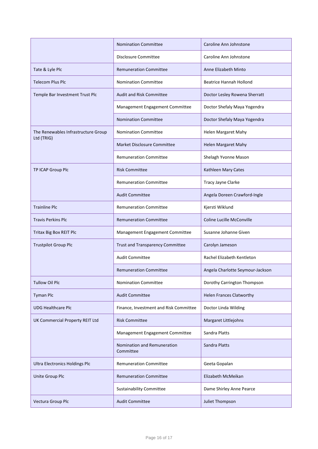|                                       | <b>Nomination Committee</b>              | Caroline Ann Johnstone           |
|---------------------------------------|------------------------------------------|----------------------------------|
|                                       | <b>Disclosure Committee</b>              | Caroline Ann Johnstone           |
| Tate & Lyle Plc                       | <b>Remuneration Committee</b>            | Anne Elizabeth Minto             |
| <b>Telecom Plus Plc</b>               | <b>Nomination Committee</b>              | <b>Beatrice Hannah Hollond</b>   |
| Temple Bar Investment Trust Plc       | <b>Audit and Risk Committee</b>          | Doctor Lesley Rowena Sherratt    |
|                                       | Management Engagement Committee          | Doctor Shefaly Maya Yogendra     |
|                                       | <b>Nomination Committee</b>              | Doctor Shefaly Maya Yogendra     |
| The Renewables Infrastructure Group   | <b>Nomination Committee</b>              | Helen Margaret Mahy              |
| Ltd (TRIG)                            | <b>Market Disclosure Committee</b>       | <b>Helen Margaret Mahy</b>       |
|                                       | <b>Remuneration Committee</b>            | Shelagh Yvonne Mason             |
| TP ICAP Group Plc                     | <b>Risk Committee</b>                    | Kathleen Mary Cates              |
|                                       | <b>Remuneration Committee</b>            | Tracy Jayne Clarke               |
|                                       | <b>Audit Committee</b>                   | Angela Doreen Crawford-Ingle     |
| <b>Trainline Plc</b>                  | <b>Remuneration Committee</b>            | Kjersti Wiklund                  |
| <b>Travis Perkins Plc</b>             | <b>Remuneration Committee</b>            | Coline Lucille McConville        |
| Tritax Big Box REIT Plc               | Management Engagement Committee          | Susanne Johanne Given            |
| <b>Trustpilot Group Plc</b>           | Trust and Transparency Committee         | Carolyn Jameson                  |
|                                       | <b>Audit Committee</b>                   | Rachel Elizabeth Kentleton       |
|                                       | <b>Remuneration Committee</b>            | Angela Charlotte Seymour-Jackson |
| <b>Tullow Oil Plc</b>                 | <b>Nomination Committee</b>              | Dorothy Carrington Thompson      |
| <b>Tyman Plc</b>                      | <b>Audit Committee</b>                   | <b>Helen Frances Clatworthy</b>  |
| <b>UDG Healthcare Plc</b>             | Finance, Investment and Risk Committee   | Doctor Linda Wilding             |
| UK Commercial Property REIT Ltd       | <b>Risk Committee</b>                    | Margaret Littlejohns             |
|                                       | Management Engagement Committee          | Sandra Platts                    |
|                                       | Nomination and Remuneration<br>Committee | Sandra Platts                    |
| <b>Ultra Electronics Holdings Plc</b> | <b>Remuneration Committee</b>            | Geeta Gopalan                    |
| <b>Unite Group Plc</b>                | <b>Remuneration Committee</b>            | Elizabeth McMeikan               |
|                                       | <b>Sustainability Committee</b>          | Dame Shirley Anne Pearce         |
| Vectura Group Plc                     | <b>Audit Committee</b>                   | Juliet Thompson                  |